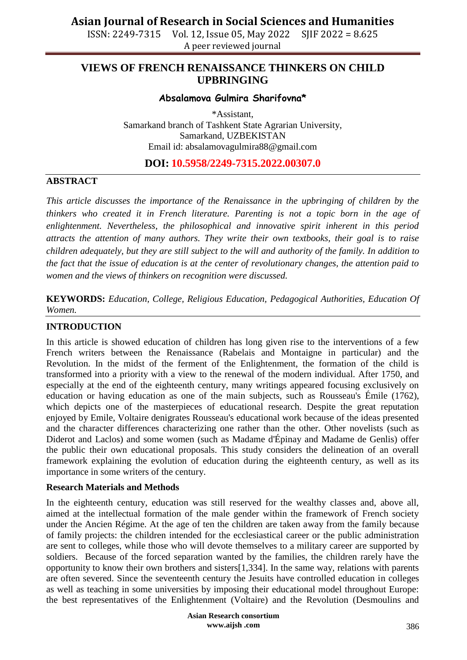ISSN: 2249-7315 Vol. 12, Issue 05, May 2022 SJIF 2022 = 8.625 A peer reviewed journal

## **VIEWS OF FRENCH RENAISSANCE THINKERS ON CHILD UPBRINGING**

### **Absalamova Gulmira Sharifovna\***

\*Assistant, Samarkand branch of Tashkent State Agrarian University, Samarkand, UZBEKISTAN Email id: absalamovagulmira88@gmail.com

### **DOI: 10.5958/2249-7315.2022.00307.0**

### **ABSTRACT**

*This article discusses the importance of the Renaissance in the upbringing of children by the thinkers who created it in French literature. Parenting is not a topic born in the age of enlightenment. Nevertheless, the philosophical and innovative spirit inherent in this period attracts the attention of many authors. They write their own textbooks, their goal is to raise children adequately, but they are still subject to the will and authority of the family. In addition to the fact that the issue of education is at the center of revolutionary changes, the attention paid to women and the views of thinkers on recognition were discussed.*

**KEYWORDS:** *Education, College, Religious Education, Pedagogical Authorities, Education Of Women.*

#### **INTRODUCTION**

In this article is showed education of children has long given rise to the interventions of a few French writers between the Renaissance (Rabelais and Montaigne in particular) and the Revolution. In the midst of the ferment of the Enlightenment, the formation of the child is transformed into a priority with a view to the renewal of the modern individual. After 1750, and especially at the end of the eighteenth century, many writings appeared focusing exclusively on education or having education as one of the main subjects, such as Rousseau's Émile (1762), which depicts one of the masterpieces of educational research. Despite the great reputation enjoyed by Emile, Voltaire denigrates Rousseau's educational work because of the ideas presented and the character differences characterizing one rather than the other. Other novelists (such as Diderot and Laclos) and some women (such as Madame d'Épinay and Madame de Genlis) offer the public their own educational proposals. This study considers the delineation of an overall framework explaining the evolution of education during the eighteenth century, as well as its importance in some writers of the century.

#### **Research Materials and Methods**

In the eighteenth century, education was still reserved for the wealthy classes and, above all, aimed at the intellectual formation of the male gender within the framework of French society under the Ancien Régime. At the age of ten the children are taken away from the family because of family projects: the children intended for the ecclesiastical career or the public administration are sent to colleges, while those who will devote themselves to a military career are supported by soldiers. Because of the forced separation wanted by the families, the children rarely have the opportunity to know their own brothers and sisters[1,334]. In the same way, relations with parents are often severed. Since the seventeenth century the Jesuits have controlled education in colleges as well as teaching in some universities by imposing their educational model throughout Europe: the best representatives of the Enlightenment (Voltaire) and the Revolution (Desmoulins and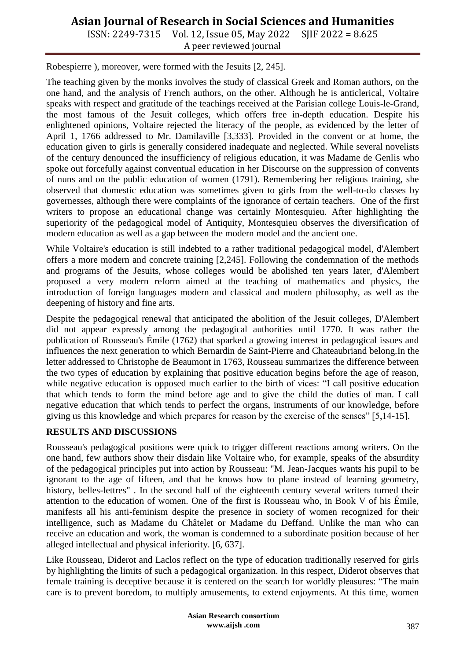# **Asian Journal of Research in Social Sciences and Humanities**

ISSN: 2249-7315 Vol. 12, Issue 05, May 2022 SJIF 2022 = 8.625 A peer reviewed journal

Robespierre ), moreover, were formed with the Jesuits [2, 245].

The teaching given by the monks involves the study of classical Greek and Roman authors, on the one hand, and the analysis of French authors, on the other. Although he is anticlerical, Voltaire speaks with respect and gratitude of the teachings received at the Parisian college Louis-le-Grand, the most famous of the Jesuit colleges, which offers free in-depth education. Despite his enlightened opinions, Voltaire rejected the literacy of the people, as evidenced by the letter of April 1, 1766 addressed to Mr. Damilaville [3,333]. Provided in the convent or at home, the education given to girls is generally considered inadequate and neglected. While several novelists of the century denounced the insufficiency of religious education, it was Madame de Genlis who spoke out forcefully against conventual education in her Discourse on the suppression of convents of nuns and on the public education of women (1791). Remembering her religious training, she observed that domestic education was sometimes given to girls from the well-to-do classes by governesses, although there were complaints of the ignorance of certain teachers. One of the first writers to propose an educational change was certainly Montesquieu. After highlighting the superiority of the pedagogical model of Antiquity, Montesquieu observes the diversification of modern education as well as a gap between the modern model and the ancient one.

While Voltaire's education is still indebted to a rather traditional pedagogical model, d'Alembert offers a more modern and concrete training [2,245]. Following the condemnation of the methods and programs of the Jesuits, whose colleges would be abolished ten years later, d'Alembert proposed a very modern reform aimed at the teaching of mathematics and physics, the introduction of foreign languages modern and classical and modern philosophy, as well as the deepening of history and fine arts.

Despite the pedagogical renewal that anticipated the abolition of the Jesuit colleges, D'Alembert did not appear expressly among the pedagogical authorities until 1770. It was rather the publication of Rousseau's Émile (1762) that sparked a growing interest in pedagogical issues and influences the next generation to which Bernardin de Saint-Pierre and Chateaubriand belong.In the letter addressed to Christophe de Beaumont in 1763, Rousseau summarizes the difference between the two types of education by explaining that positive education begins before the age of reason, while negative education is opposed much earlier to the birth of vices: "I call positive education that which tends to form the mind before age and to give the child the duties of man. I call negative education that which tends to perfect the organs, instruments of our knowledge, before giving us this knowledge and which prepares for reason by the exercise of the senses" [5,14-15].

#### **RESULTS AND DISCUSSIONS**

Rousseau's pedagogical positions were quick to trigger different reactions among writers. On the one hand, few authors show their disdain like Voltaire who, for example, speaks of the absurdity of the pedagogical principles put into action by Rousseau: "M. Jean-Jacques wants his pupil to be ignorant to the age of fifteen, and that he knows how to plane instead of learning geometry, history, belles-lettres". In the second half of the eighteenth century several writers turned their attention to the education of women. One of the first is Rousseau who, in Book V of his Émile, manifests all his anti-feminism despite the presence in society of women recognized for their intelligence, such as Madame du Châtelet or Madame du Deffand. Unlike the man who can receive an education and work, the woman is condemned to a subordinate position because of her alleged intellectual and physical inferiority. [6, 637].

Like Rousseau, Diderot and Laclos reflect on the type of education traditionally reserved for girls by highlighting the limits of such a pedagogical organization. In this respect, Diderot observes that female training is deceptive because it is centered on the search for worldly pleasures: "The main care is to prevent boredom, to multiply amusements, to extend enjoyments. At this time, women

> **Asian Research consortium www.aijsh .com**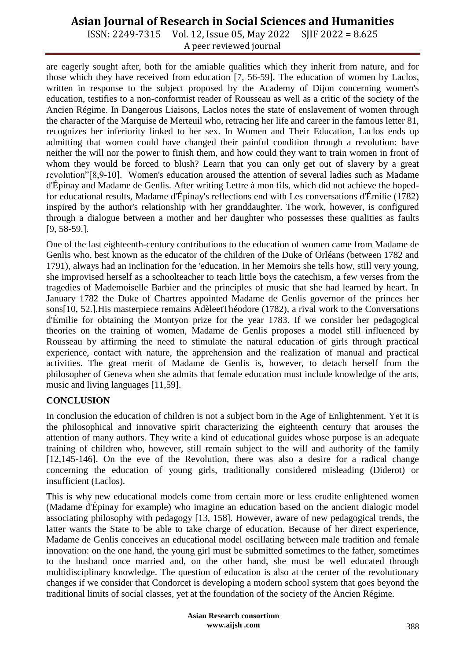## **Asian Journal of Research in Social Sciences and Humanities**

ISSN: 2249-7315 Vol. 12, Issue 05, May 2022 SJIF 2022 = 8.625 A peer reviewed journal

are eagerly sought after, both for the amiable qualities which they inherit from nature, and for those which they have received from education [7, 56-59]. The education of women by Laclos, written in response to the subject proposed by the Academy of Dijon concerning women's education, testifies to a non-conformist reader of Rousseau as well as a critic of the society of the Ancien Régime. In Dangerous Liaisons, Laclos notes the state of enslavement of women through the character of the Marquise de Merteuil who, retracing her life and career in the famous letter 81, recognizes her inferiority linked to her sex. In Women and Their Education, Laclos ends up admitting that women could have changed their painful condition through a revolution: have neither the will nor the power to finish them, and how could they want to train women in front of whom they would be forced to blush? Learn that you can only get out of slavery by a great revolution"[8,9-10]. Women's education aroused the attention of several ladies such as Madame d'Épinay and Madame de Genlis. After writing Lettre à mon fils, which did not achieve the hopedfor educational results, Madame d'Épinay's reflections end with Les conversations d'Émilie (1782) inspired by the author's relationship with her granddaughter. The work, however, is configured through a dialogue between a mother and her daughter who possesses these qualities as faults [9, 58-59.].

One of the last eighteenth-century contributions to the education of women came from Madame de Genlis who, best known as the educator of the children of the Duke of Orléans (between 1782 and 1791), always had an inclination for the 'education. In her Memoirs she tells how, still very young, she improvised herself as a schoolteacher to teach little boys the catechism, a few verses from the tragedies of Mademoiselle Barbier and the principles of music that she had learned by heart. In January 1782 the Duke of Chartres appointed Madame de Genlis governor of the princes her sons[10, 52.].His masterpiece remains AdèleetThéodore (1782), a rival work to the Conversations d'Émilie for obtaining the Montyon prize for the year 1783. If we consider her pedagogical theories on the training of women, Madame de Genlis proposes a model still influenced by Rousseau by affirming the need to stimulate the natural education of girls through practical experience, contact with nature, the apprehension and the realization of manual and practical activities. The great merit of Madame de Genlis is, however, to detach herself from the philosopher of Geneva when she admits that female education must include knowledge of the arts, music and living languages [11,59].

### **CONCLUSION**

In conclusion the education of children is not a subject born in the Age of Enlightenment. Yet it is the philosophical and innovative spirit characterizing the eighteenth century that arouses the attention of many authors. They write a kind of educational guides whose purpose is an adequate training of children who, however, still remain subject to the will and authority of the family [12,145-146]. On the eve of the Revolution, there was also a desire for a radical change concerning the education of young girls, traditionally considered misleading (Diderot) or insufficient (Laclos).

This is why new educational models come from certain more or less erudite enlightened women (Madame d'Épinay for example) who imagine an education based on the ancient dialogic model associating philosophy with pedagogy [13, 158]. However, aware of new pedagogical trends, the latter wants the State to be able to take charge of education. Because of her direct experience, Madame de Genlis conceives an educational model oscillating between male tradition and female innovation: on the one hand, the young girl must be submitted sometimes to the father, sometimes to the husband once married and, on the other hand, she must be well educated through multidisciplinary knowledge. The question of education is also at the center of the revolutionary changes if we consider that Condorcet is developing a modern school system that goes beyond the traditional limits of social classes, yet at the foundation of the society of the Ancien Régime.

> **Asian Research consortium www.aijsh .com**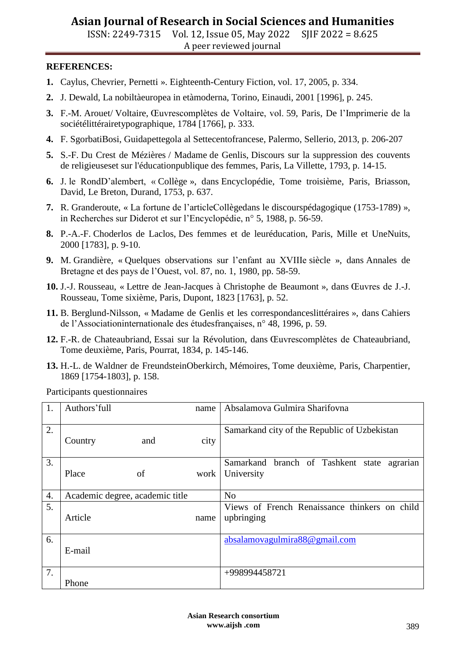# **Asian Journal of Research in Social Sciences and Humanities**

ISSN: 2249-7315 Vol. 12, Issue 05, May 2022 SJIF 2022 = 8.625 A peer reviewed journal

#### **REFERENCES:**

- **1.** Caylus, Chevrier, Pernetti ». Eighteenth-Century Fiction, vol. 17, 2005, p. 334.
- **2.** J. Dewald, La nobiltàeuropea in etàmoderna, Torino, Einaudi, 2001 [1996], p. 245.
- **3.** F.-M. Arouet/ Voltaire, Œuvrescomplètes de Voltaire, vol. 59, Paris, De l'Imprimerie de la sociétélittérairetypographique, 1784 [1766], p. 333.
- **4.** F. SgorbatiBosi, Guidapettegola al Settecentofrancese, Palermo, Sellerio, 2013, p. 206-207
- **5.** S.-F. Du Crest de Mézières / Madame de Genlis, Discours sur la suppression des couvents de religieuseset sur l'éducationpublique des femmes, Paris, La Villette, 1793, p. 14-15.
- **6.** J. le RondD'alembert, « Collège », dans Encyclopédie, Tome troisième, Paris, Briasson, David, Le Breton, Durand, 1753, p. 637.
- **7.** R. Granderoute, « La fortune de l'articleCollègedans le discourspédagogique (1753-1789) », in Recherches sur Diderot et sur l'Encyclopédie, n° 5, 1988, p. 56-59.
- **8.** P.-A.-F. Choderlos de Laclos, Des femmes et de leuréducation, Paris, Mille et UneNuits, 2000 [1783], p. 9-10.
- **9.** M. Grandière, « Quelques observations sur l'enfant au XVIIIe siècle », dans Annales de Bretagne et des pays de l'Ouest, vol. 87, no. 1, 1980, pp. 58-59.
- **10.** J.-J. Rousseau, « Lettre de Jean-Jacques à Christophe de Beaumont », dans Œuvres de J.-J. Rousseau, Tome sixième, Paris, Dupont, 1823 [1763], p. 52.
- **11.** B. Berglund-Nilsson, « Madame de Genlis et les correspondanceslittéraires », dans Cahiers de l'Associationinternationale des étudesfrançaises, n° 48, 1996, p. 59.
- **12.** F.-R. de Chateaubriand, Essai sur la Révolution, dans Œuvrescomplètes de Chateaubriand, Tome deuxième, Paris, Pourrat, 1834, p. 145-146.
- **13.** H.-L. de Waldner de FreundsteinOberkirch, Mémoires, Tome deuxième, Paris, Charpentier, 1869 [1754-1803], p. 158.

Participants questionnaires

| 1. | Authors' full                   | name | Absalamova Gulmira Sharifovna                                |
|----|---------------------------------|------|--------------------------------------------------------------|
| 2. | Country<br>and                  | city | Samarkand city of the Republic of Uzbekistan                 |
| 3. | of<br>Place                     | work | Samarkand branch of Tashkent state<br>agrarian<br>University |
| 4. | Academic degree, academic title |      | N <sub>0</sub>                                               |
| 5. | Article                         | name | Views of French Renaissance thinkers on child<br>upbringing  |
| 6. | E-mail                          |      | absalamovagulmira88@gmail.com                                |
| 7. | Phone                           |      | +998994458721                                                |